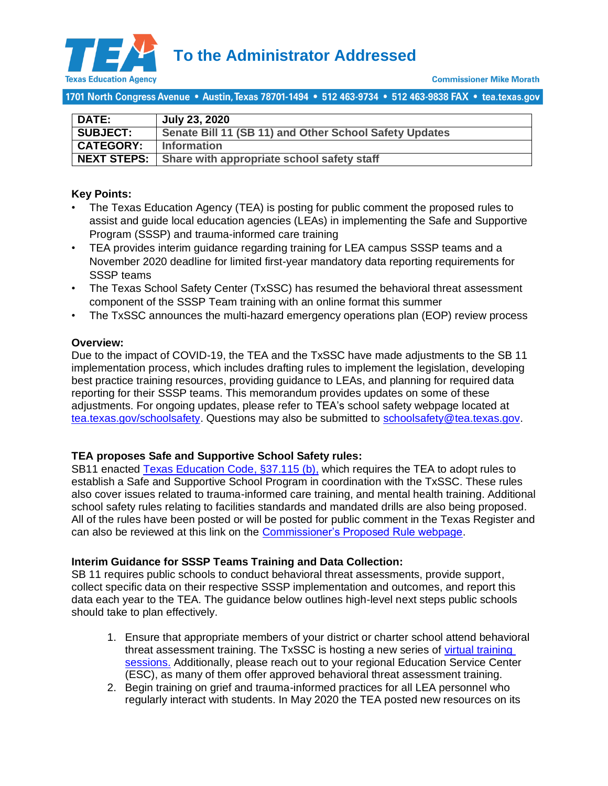

**To the Administrator Addressed**

1701 North Congress Avenue • Austin, Texas 78701-1494 • 512 463-9734 • 512 463-9838 FAX • tea.texas.gov

| <b>DATE:</b>       | <b>July 23, 2020</b>                                   |
|--------------------|--------------------------------------------------------|
| <b>SUBJECT:</b>    | Senate Bill 11 (SB 11) and Other School Safety Updates |
| <b>CATEGORY:</b>   | <b>Information</b>                                     |
| <b>NEXT STEPS:</b> | Share with appropriate school safety staff             |

## **Key Points[:](#page-0-0)**

- The Texas Education Agency (TEA) [is posting for public comment the proposed rules to](#page-0-0)  [assist and guide local education agencies \(LEAs\)](#page-0-0) in implementing the Safe and Supportive [Program \(SSSP\) and trauma-informed care training](#page-0-0)
- TEA provides interim guidance regarding training for LEA campus SSSP teams and a November 2020 deadline for limited first-year mandatory data reporting requirements for SSSP teams
- [The Texas School Safety Center \(TxSSC\) has](#page-1-0) resumed the behavioral threat assessment component of the SSSP Team [training with an online format this summer](#page-1-0)
- The TxSSC announces the [multi-hazard emergency operations plan \(EOP\) review process](#page-1-1)

## **Overview:**

Due to the impact of COVID-19, the TEA and the TxSSC have made adjustments to the SB 11 implementation process, which includes drafting rules to implement the legislation, developing best practice training resources, providing guidance to LEAs, and planning for required data reporting for their SSSP teams. This memorandum provides updates on some of these adjustments. For ongoing updates, please refer to TEA's school safety webpage located at [tea.texas.gov/schoolsafety.](https://tea.texas.gov/texas-schools/health-safety-discipline/school-safety) Questions may also be submitted to [schoolsafety@tea.texas.gov.](mailto:schoolsafety@tea.texas.gov)

# <span id="page-0-0"></span>**TEA proposes Safe and Supportive School Safety rules:**

SB11 enacted [Texas Education Code,](https://statutes.capitol.texas.gov/Docs/ED/htm/ED.37.htm#37.115) §37.115 (b), which requires the TEA to adopt rules to establish a Safe and Supportive School Program in coordination with the TxSSC. These rules also cover issues related to trauma-informed care training, and mental health training. Additional school safety rules relating to facilities standards and mandated drills are also being proposed. All of the rules have been posted or will be posted for public comment in the Texas Register and can also be reviewed at this link on the [Commissioner's Proposed Rule webpage.](https://tea.texas.gov/about-tea/laws-and-rules/commissioner-rules-tac/proposed-commissioner-of-education-rules)

### **Interim Guidance for SSSP Teams Training and Data Collection:**

SB 11 requires public schools to conduct behavioral threat assessments, provide support, collect specific data on their respective SSSP implementation and outcomes, and report this data each year to the TEA. The guidance below outlines high-level next steps public schools should take to plan effectively.

- 1. Ensure that appropriate members of your district or charter school attend behavioral threat assessment training. The TxSSC is hosting a new series of [virtual training](https://sslp.txssc.txstate.edu/)  [sessions.](https://sslp.txssc.txstate.edu/) Additionally, please reach out to your regional Education Service Center (ESC), as many of them offer approved behavioral threat assessment training.
- 2. Begin training on grief and trauma-informed practices for all LEA personnel who regularly interact with students. In May 2020 the TEA posted new resources on its